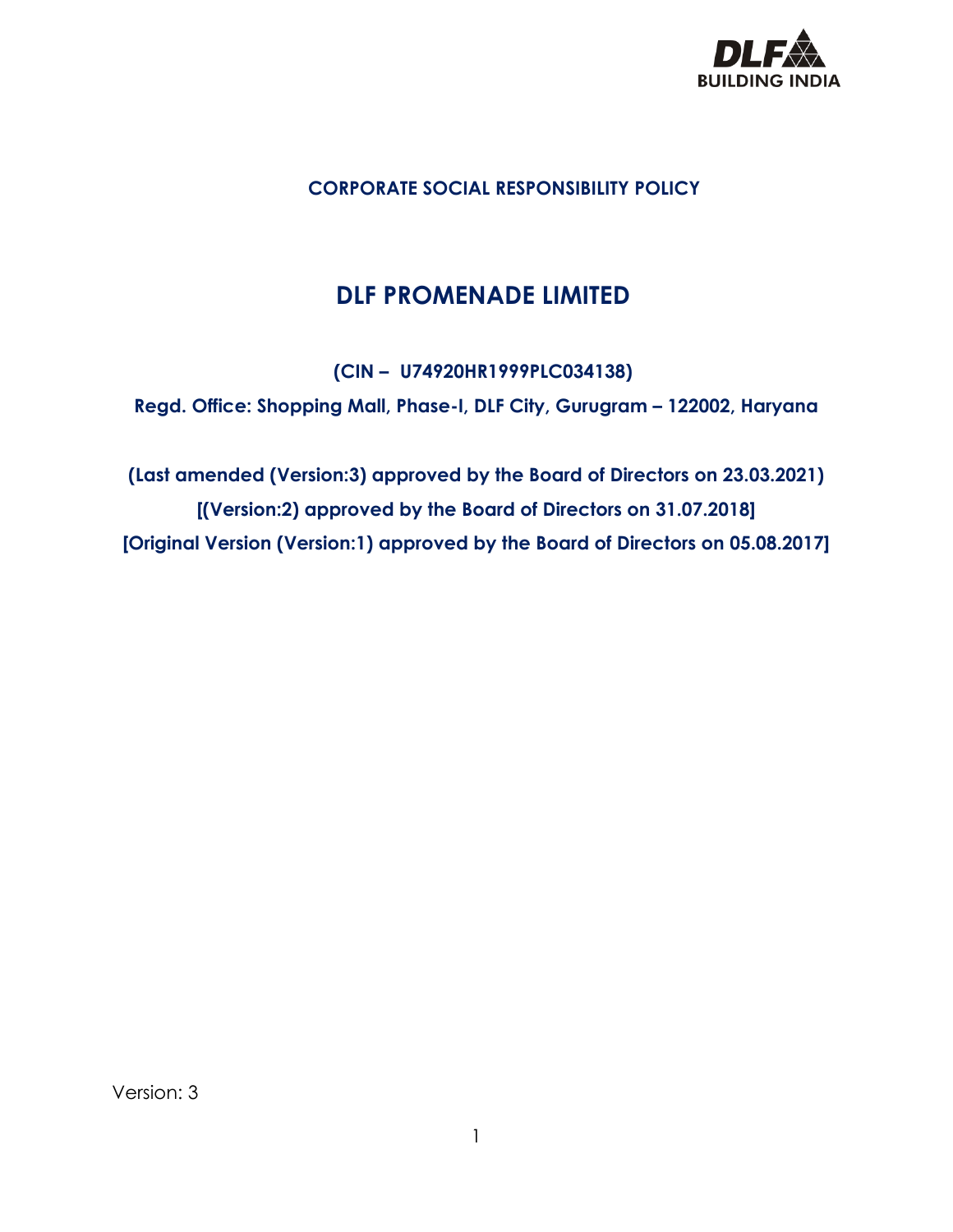

# **CORPORATE SOCIAL RESPONSIBILITY POLICY**

# **DLF PROMENADE LIMITED**

**(CIN – U74920HR1999PLC034138)**

**Regd. Office: Shopping Mall, Phase-I, DLF City, Gurugram – 122002, Haryana**

**(Last amended (Version:3) approved by the Board of Directors on 23.03.2021) [(Version:2) approved by the Board of Directors on 31.07.2018] [Original Version (Version:1) approved by the Board of Directors on 05.08.2017]**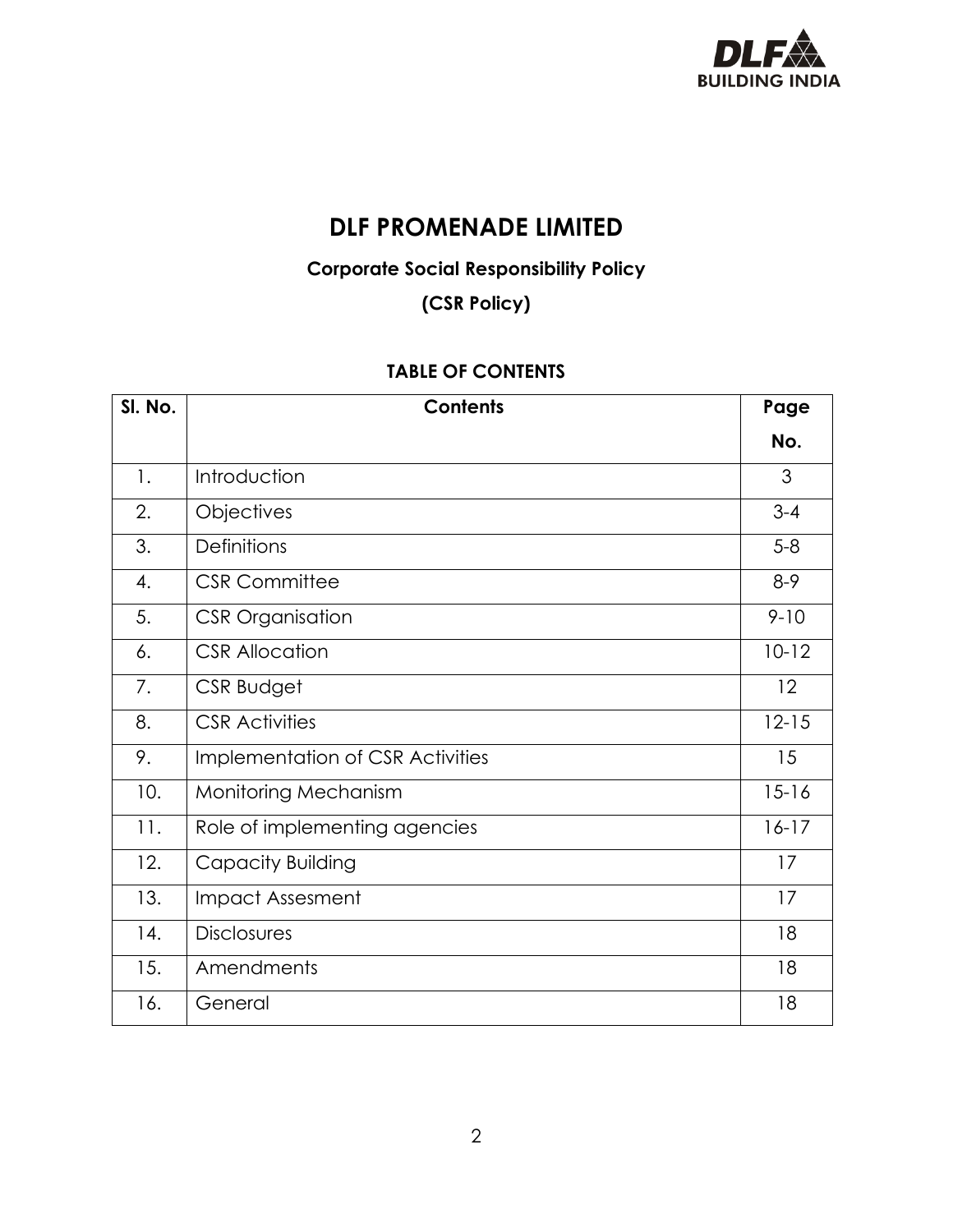

# **DLF PROMENADE LIMITED**

# **Corporate Social Responsibility Policy**

**(CSR Policy)**

# **TABLE OF CONTENTS**

| SI. No.        | <b>Contents</b>                  | Page      |  |
|----------------|----------------------------------|-----------|--|
|                |                                  | No.       |  |
| $\mathbf{1}$ . | Introduction                     | 3         |  |
| 2.             | Objectives                       | $3 - 4$   |  |
| 3.             | <b>Definitions</b>               | $5-8$     |  |
| 4.             | <b>CSR Committee</b>             | $8-9$     |  |
| 5.             | <b>CSR Organisation</b>          | $9 - 10$  |  |
| 6.             | <b>CSR Allocation</b>            | $10 - 12$ |  |
| 7.             | CSR Budget                       | 12        |  |
| 8.             | <b>CSR Activities</b>            | $12 - 15$ |  |
| 9.             | Implementation of CSR Activities | 15        |  |
| 10.            | <b>Monitoring Mechanism</b>      | $15 - 16$ |  |
| 11.            | Role of implementing agencies    | $16-17$   |  |
| 12.            | Capacity Building                | 17        |  |
| 13.            | <b>Impact Assesment</b>          | 17        |  |
| 14.            | <b>Disclosures</b>               | 18        |  |
| 15.            | Amendments                       | 18        |  |
| 16.            | General                          | 18        |  |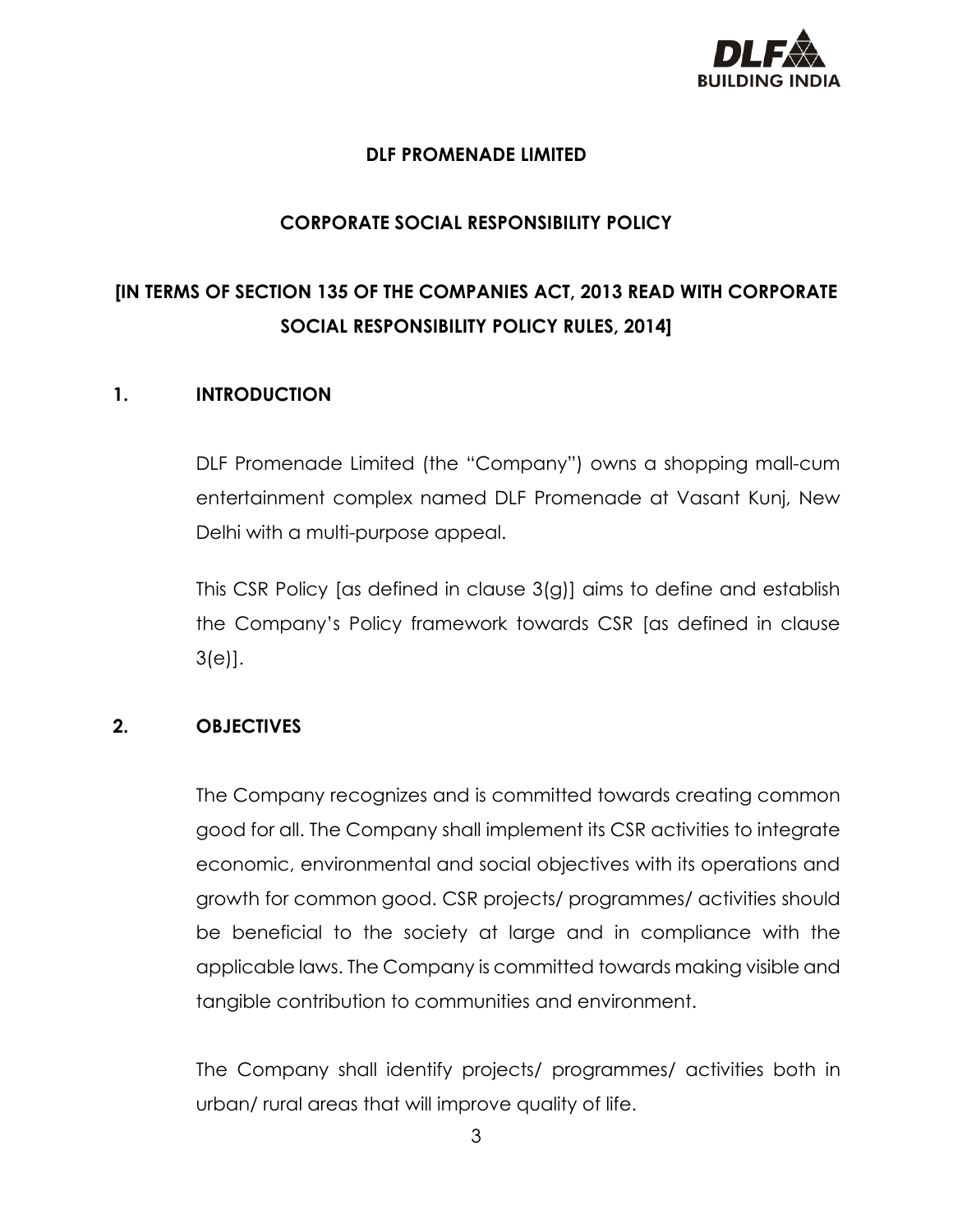

# **DLF PROMENADE LIMITED**

# **CORPORATE SOCIAL RESPONSIBILITY POLICY**

# **[IN TERMS OF SECTION 135 OF THE COMPANIES ACT, 2013 READ WITH CORPORATE SOCIAL RESPONSIBILITY POLICY RULES, 2014]**

#### **1. INTRODUCTION**

DLF Promenade Limited (the "Company") owns a shopping mall-cum entertainment complex named DLF Promenade at Vasant Kunj, New Delhi with a multi-purpose appeal.

This CSR Policy [as defined in clause 3(g)] aims to define and establish the Company's Policy framework towards CSR [as defined in clause 3(e)].

# **2. OBJECTIVES**

The Company recognizes and is committed towards creating common good for all. The Company shall implement its CSR activities to integrate economic, environmental and social objectives with its operations and growth for common good. CSR projects/ programmes/ activities should be beneficial to the society at large and in compliance with the applicable laws. The Company is committed towards making visible and tangible contribution to communities and environment.

The Company shall identify projects/ programmes/ activities both in urban/ rural areas that will improve quality of life.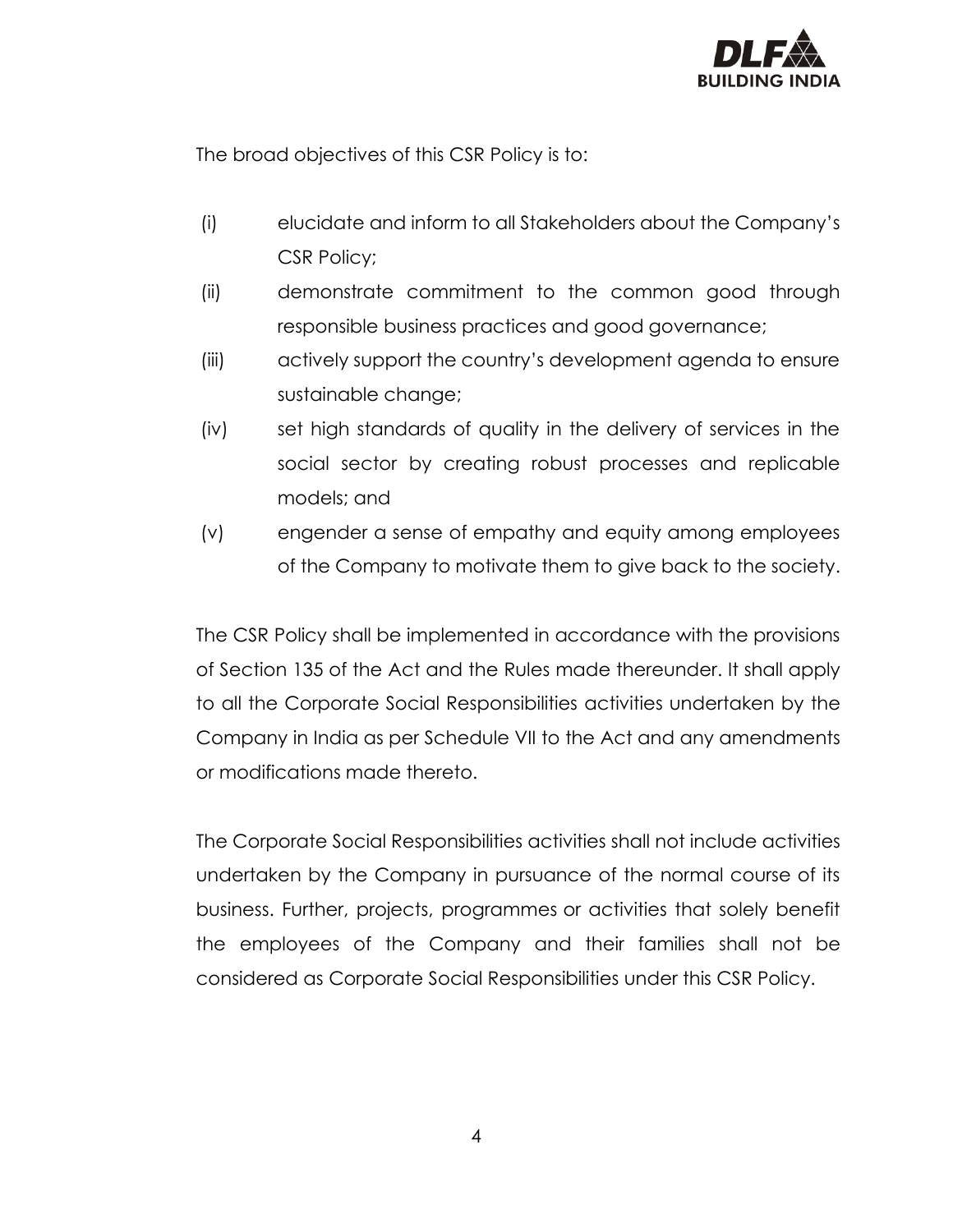

The broad objectives of this CSR Policy is to:

- (i) elucidate and inform to all Stakeholders about the Company's CSR Policy;
- (ii) demonstrate commitment to the common good through responsible business practices and good governance;
- (iii) actively support the country's development agenda to ensure sustainable change;
- (iv) set high standards of quality in the delivery of services in the social sector by creating robust processes and replicable models; and
- (v) engender a sense of empathy and equity among employees of the Company to motivate them to give back to the society.

The CSR Policy shall be implemented in accordance with the provisions of Section 135 of the Act and the Rules made thereunder. It shall apply to all the Corporate Social Responsibilities activities undertaken by the Company in India as per Schedule VII to the Act and any amendments or modifications made thereto.

The Corporate Social Responsibilities activities shall not include activities undertaken by the Company in pursuance of the normal course of its business. Further, projects, programmes or activities that solely benefit the employees of the Company and their families shall not be considered as Corporate Social Responsibilities under this CSR Policy.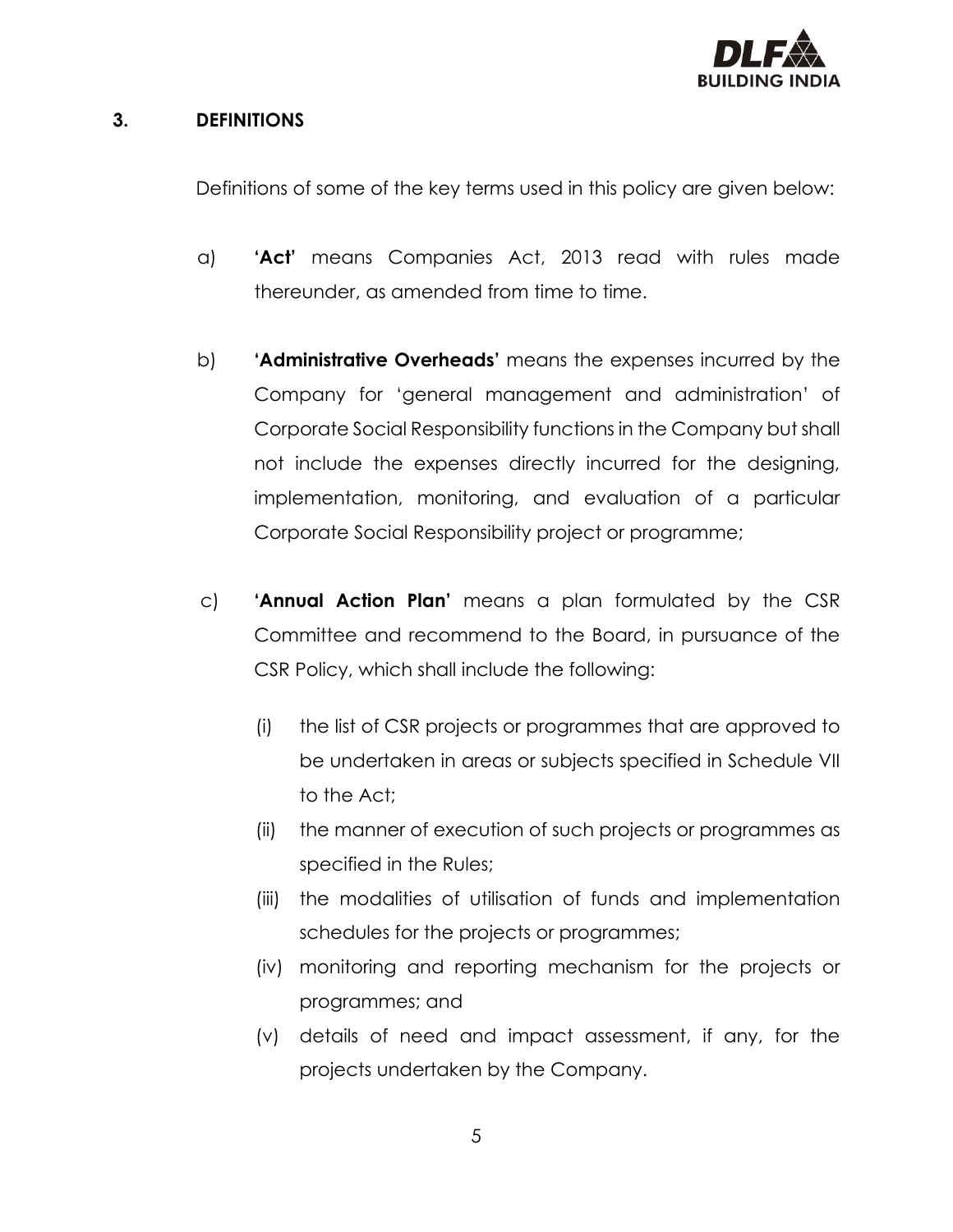

#### **3. DEFINITIONS**

Definitions of some of the key terms used in this policy are given below:

- a) **'Act'** means Companies Act, 2013 read with rules made thereunder, as amended from time to time.
- b) **'Administrative Overheads'** means the expenses incurred by the Company for 'general management and administration' of Corporate Social Responsibility functions in the Company but shall not include the expenses directly incurred for the designing, implementation, monitoring, and evaluation of a particular Corporate Social Responsibility project or programme;
- c) **'Annual Action Plan'** means a plan formulated by the CSR Committee and recommend to the Board, in pursuance of the CSR Policy, which shall include the following:
	- (i) the list of CSR projects or programmes that are approved to be undertaken in areas or subjects specified in Schedule VII to the Act;
	- (ii) the manner of execution of such projects or programmes as specified in the Rules;
	- (iii) the modalities of utilisation of funds and implementation schedules for the projects or programmes;
	- (iv) monitoring and reporting mechanism for the projects or programmes; and
	- (v) details of need and impact assessment, if any, for the projects undertaken by the Company.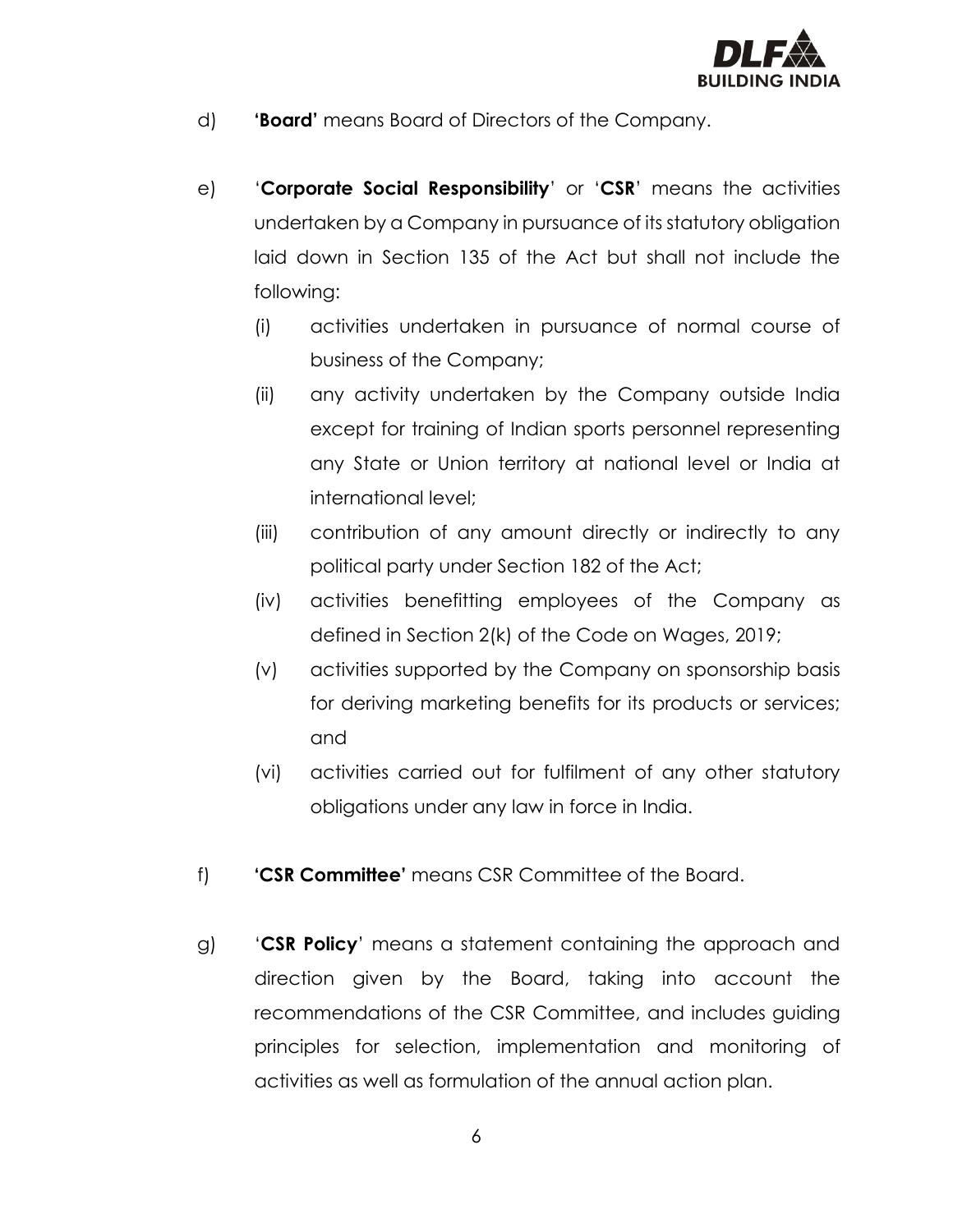

- d) **'Board'** means Board of Directors of the Company.
- e) '**Corporate Social Responsibility**' or '**CSR**' means the activities undertaken by a Company in pursuance of its statutory obligation laid down in Section 135 of the Act but shall not include the following:
	- (i) activities undertaken in pursuance of normal course of business of the Company;
	- (ii) any activity undertaken by the Company outside India except for training of Indian sports personnel representing any State or Union territory at national level or India at international level;
	- (iii) contribution of any amount directly or indirectly to any political party under Section 182 of the Act;
	- (iv) activities benefitting employees of the Company as defined in Section 2(k) of the Code on Wages, 2019;
	- (v) activities supported by the Company on sponsorship basis for deriving marketing benefits for its products or services; and
	- (vi) activities carried out for fulfilment of any other statutory obligations under any law in force in India.
- f) **'CSR Committee'** means CSR Committee of the Board.
- g) '**CSR Policy**' means a statement containing the approach and direction given by the Board, taking into account the recommendations of the CSR Committee, and includes guiding principles for selection, implementation and monitoring of activities as well as formulation of the annual action plan.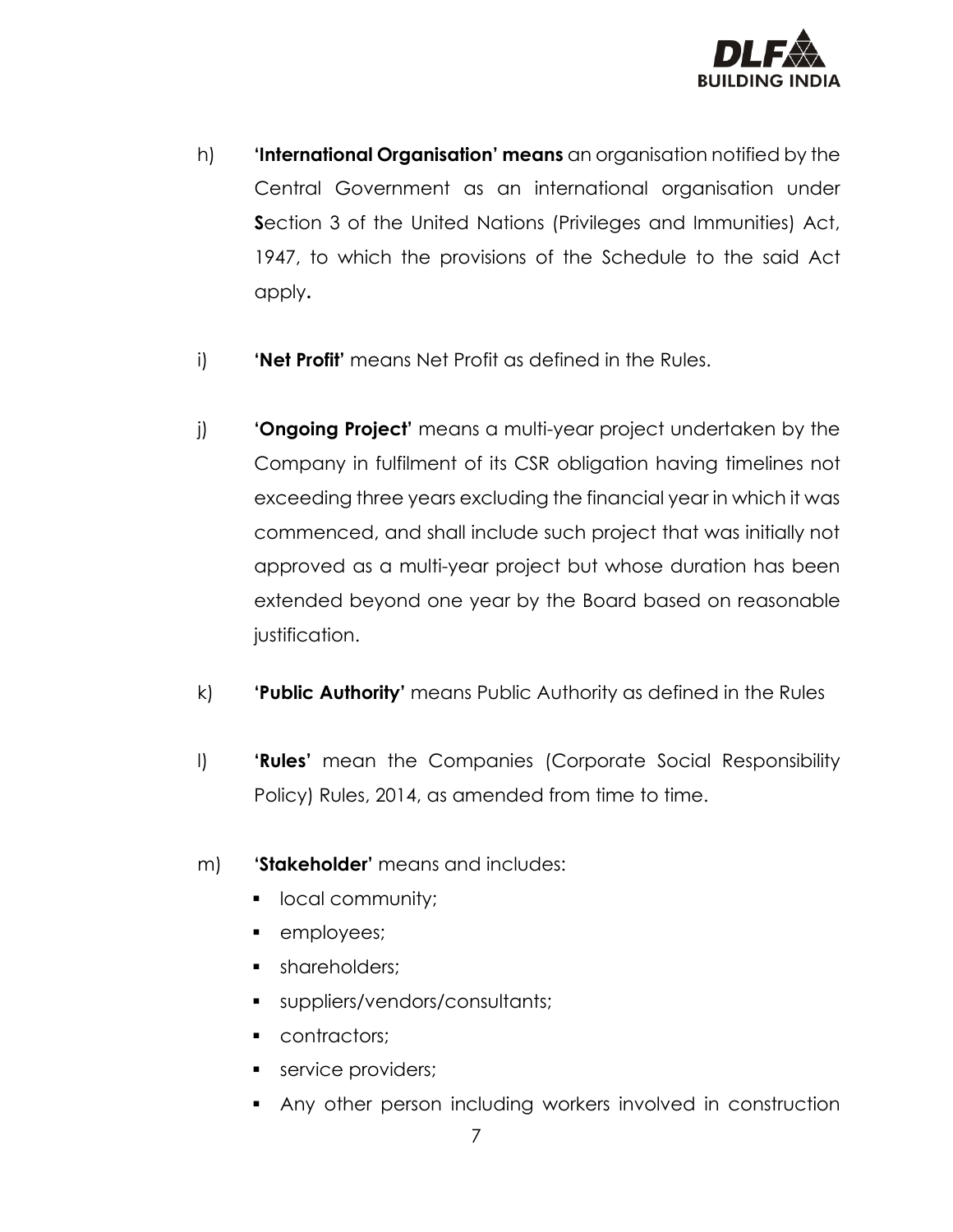

- h) **'International Organisation' means** an organisation notified by the Central Government as an international organisation under **S**ection 3 of the United Nations (Privileges and Immunities) Act, 1947, to which the provisions of the Schedule to the said Act apply**.**
- i) **'Net Profit'** means Net Profit as defined in the Rules.
- j) **'Ongoing Project'** means a multi-year project undertaken by the Company in fulfilment of its CSR obligation having timelines not exceeding three years excluding the financial year in which it was commenced, and shall include such project that was initially not approved as a multi-year project but whose duration has been extended beyond one year by the Board based on reasonable justification.
- k) **'Public Authority'** means Public Authority as defined in the Rules
- l) **'Rules'** mean the Companies (Corporate Social Responsibility Policy) Rules, 2014, as amended from time to time.
- m) **'Stakeholder'** means and includes:
	- local community;
	- employees;
	- **•** shareholders;
	- suppliers/vendors/consultants;
	- contractors;
	- **•** service providers;
	- Any other person including workers involved in construction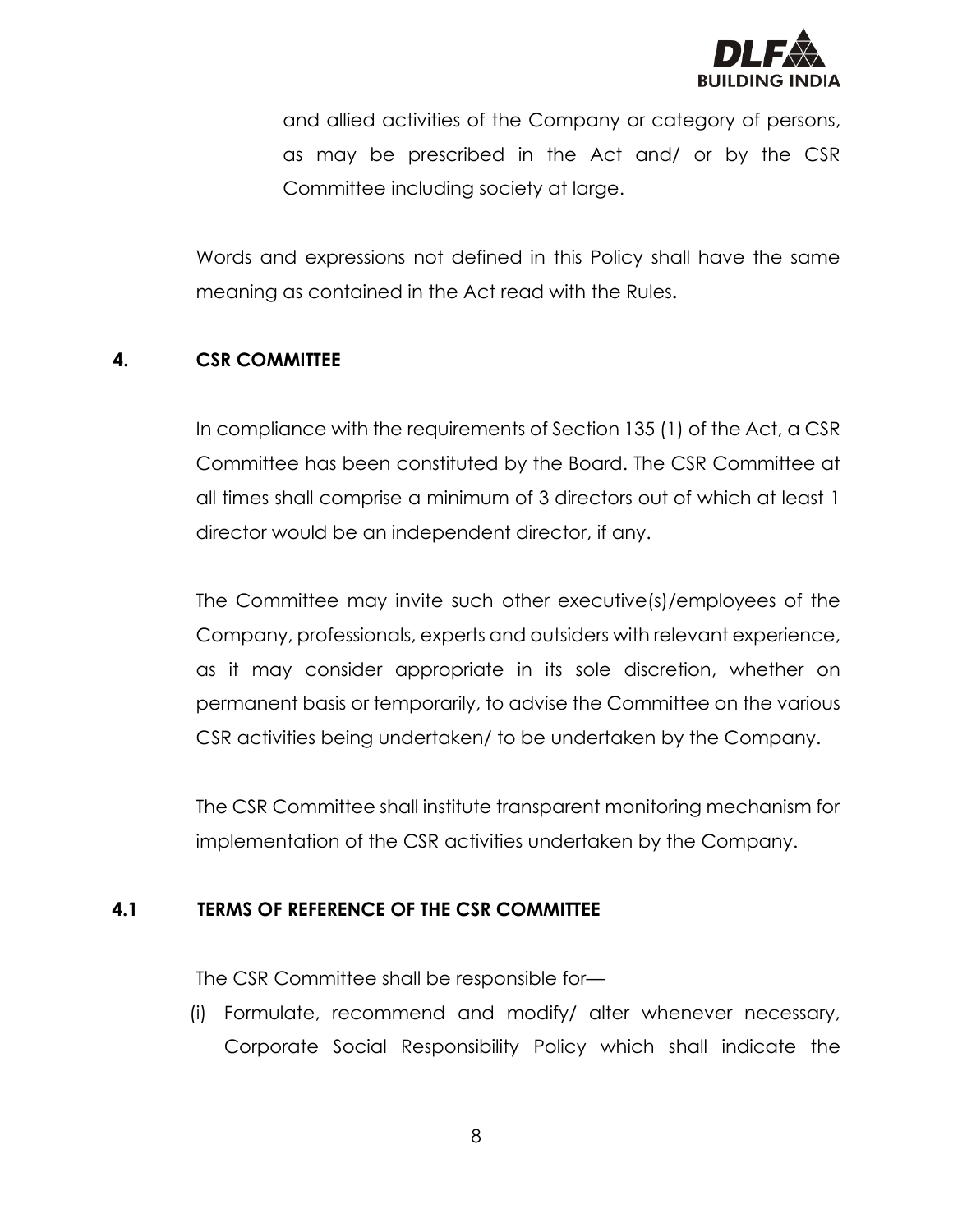

and allied activities of the Company or category of persons, as may be prescribed in the Act and/ or by the CSR Committee including society at large.

Words and expressions not defined in this Policy shall have the same meaning as contained in the Act read with the Rules**.**

# **4. CSR COMMITTEE**

In compliance with the requirements of Section 135 (1) of the Act, a CSR Committee has been constituted by the Board. The CSR Committee at all times shall comprise a minimum of 3 directors out of which at least 1 director would be an independent director, if any.

The Committee may invite such other executive(s)/employees of the Company, professionals, experts and outsiders with relevant experience, as it may consider appropriate in its sole discretion, whether on permanent basis or temporarily, to advise the Committee on the various CSR activities being undertaken/ to be undertaken by the Company.

The CSR Committee shall institute transparent monitoring mechanism for implementation of the CSR activities undertaken by the Company.

#### **4.1 TERMS OF REFERENCE OF THE CSR COMMITTEE**

The CSR Committee shall be responsible for—

(i) Formulate, recommend and modify/ alter whenever necessary, Corporate Social Responsibility Policy which shall indicate the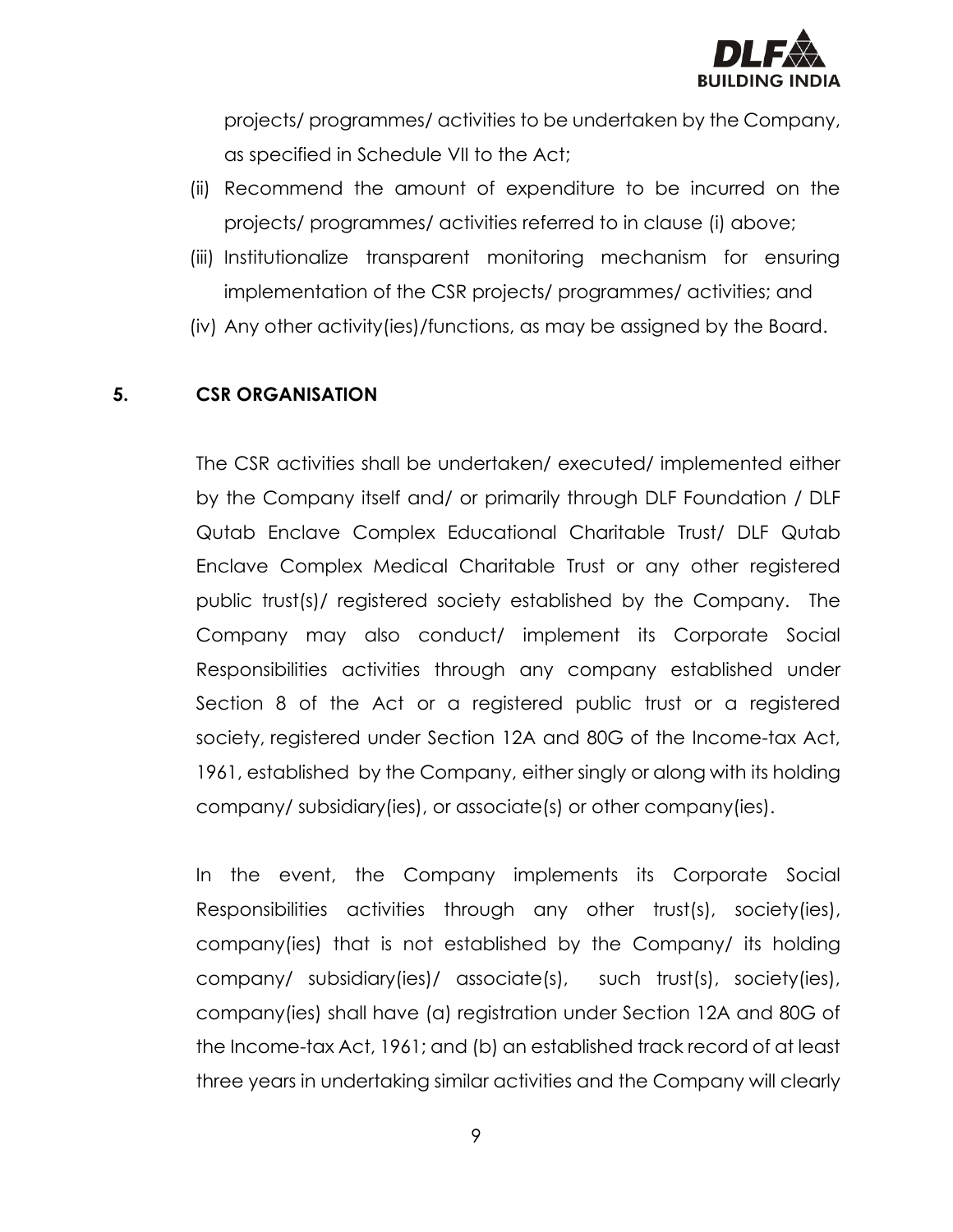

projects/ programmes/ activities to be undertaken by the Company, as specified in Schedule VII to the Act;

- (ii) Recommend the amount of expenditure to be incurred on the projects/ programmes/ activities referred to in clause (i) above;
- (iii) Institutionalize transparent monitoring mechanism for ensuring implementation of the CSR projects/ programmes/ activities; and
- (iv) Any other activity(ies)/functions, as may be assigned by the Board.

#### **5. CSR ORGANISATION**

The CSR activities shall be undertaken/ executed/ implemented either by the Company itself and/ or primarily through DLF Foundation / DLF Qutab Enclave Complex Educational Charitable Trust/ DLF Qutab Enclave Complex Medical Charitable Trust or any other registered public trust(s)/ registered society established by the Company. The Company may also conduct/ implement its Corporate Social Responsibilities activities through any company established under Section 8 of the Act or a registered public trust or a registered society, registered under Section 12A and 80G of the Income-tax Act, 1961, established by the Company, either singly or along with its holding company/ subsidiary(ies), or associate(s) or other company(ies).

In the event, the Company implements its Corporate Social Responsibilities activities through any other trust(s), society(ies), company(ies) that is not established by the Company/ its holding company/ subsidiary(ies)/ associate(s), such trust(s), society(ies), company(ies) shall have (a) registration under Section 12A and 80G of the Income-tax Act, 1961; and (b) an established track record of at least three years in undertaking similar activities and the Company will clearly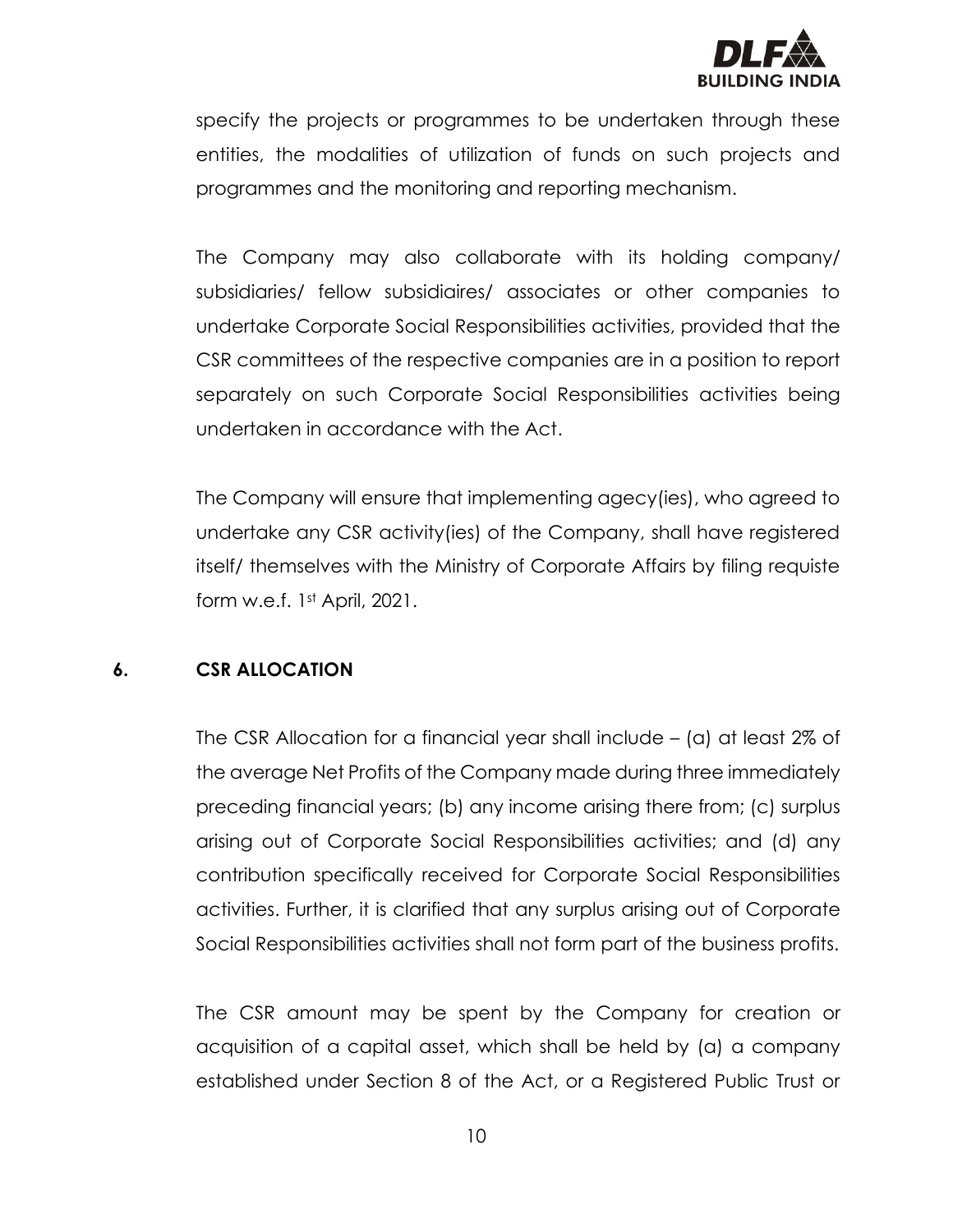

specify the projects or programmes to be undertaken through these entities, the modalities of utilization of funds on such projects and programmes and the monitoring and reporting mechanism.

The Company may also collaborate with its holding company/ subsidiaries/ fellow subsidiaires/ associates or other companies to undertake Corporate Social Responsibilities activities, provided that the CSR committees of the respective companies are in a position to report separately on such Corporate Social Responsibilities activities being undertaken in accordance with the Act.

The Company will ensure that implementing agecy(ies), who agreed to undertake any CSR activity(ies) of the Company, shall have registered itself/ themselves with the Ministry of Corporate Affairs by filing requiste form w.e.f. 1st April, 2021.

#### **6. CSR ALLOCATION**

The CSR Allocation for a financial year shall include – (a) at least 2% of the average Net Profits of the Company made during three immediately preceding financial years; (b) any income arising there from; (c) surplus arising out of Corporate Social Responsibilities activities; and (d) any contribution specifically received for Corporate Social Responsibilities activities. Further, it is clarified that any surplus arising out of Corporate Social Responsibilities activities shall not form part of the business profits.

The CSR amount may be spent by the Company for creation or acquisition of a capital asset, which shall be held by (a) a company established under Section 8 of the Act, or a Registered Public Trust or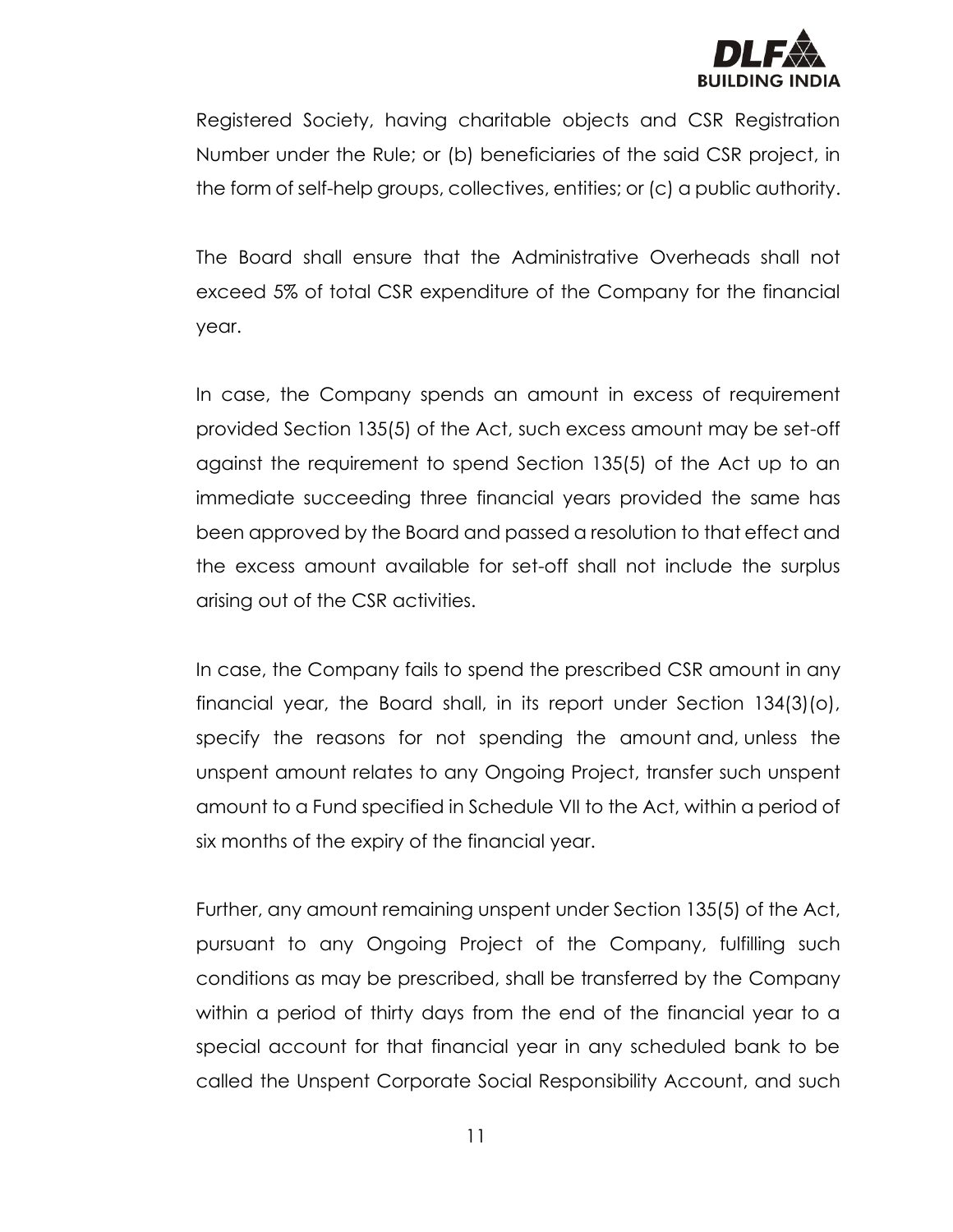

Registered Society, having charitable objects and CSR Registration Number under the Rule; or (b) beneficiaries of the said CSR project, in the form of self-help groups, collectives, entities; or (c) a public authority.

The Board shall ensure that the Administrative Overheads shall not exceed 5% of total CSR expenditure of the Company for the financial year.

In case, the Company spends an amount in excess of requirement provided Section 135(5) of the Act, such excess amount may be set-off against the requirement to spend Section 135(5) of the Act up to an immediate succeeding three financial years provided the same has been approved by the Board and passed a resolution to that effect and the excess amount available for set-off shall not include the surplus arising out of the CSR activities.

In case, the Company fails to spend the prescribed CSR amount in any financial year, the Board shall, in its report under Section 134(3)(o), specify the reasons for not spending the amount and, unless the unspent amount relates to any Ongoing Project, transfer such unspent amount to a Fund specified in Schedule VII to the Act, within a period of six months of the expiry of the financial year.

Further, any amount remaining unspent under Section 135(5) of the Act, pursuant to any Ongoing Project of the Company, fulfilling such conditions as may be prescribed, shall be transferred by the Company within a period of thirty days from the end of the financial year to a special account for that financial year in any scheduled bank to be called the Unspent Corporate Social Responsibility Account, and such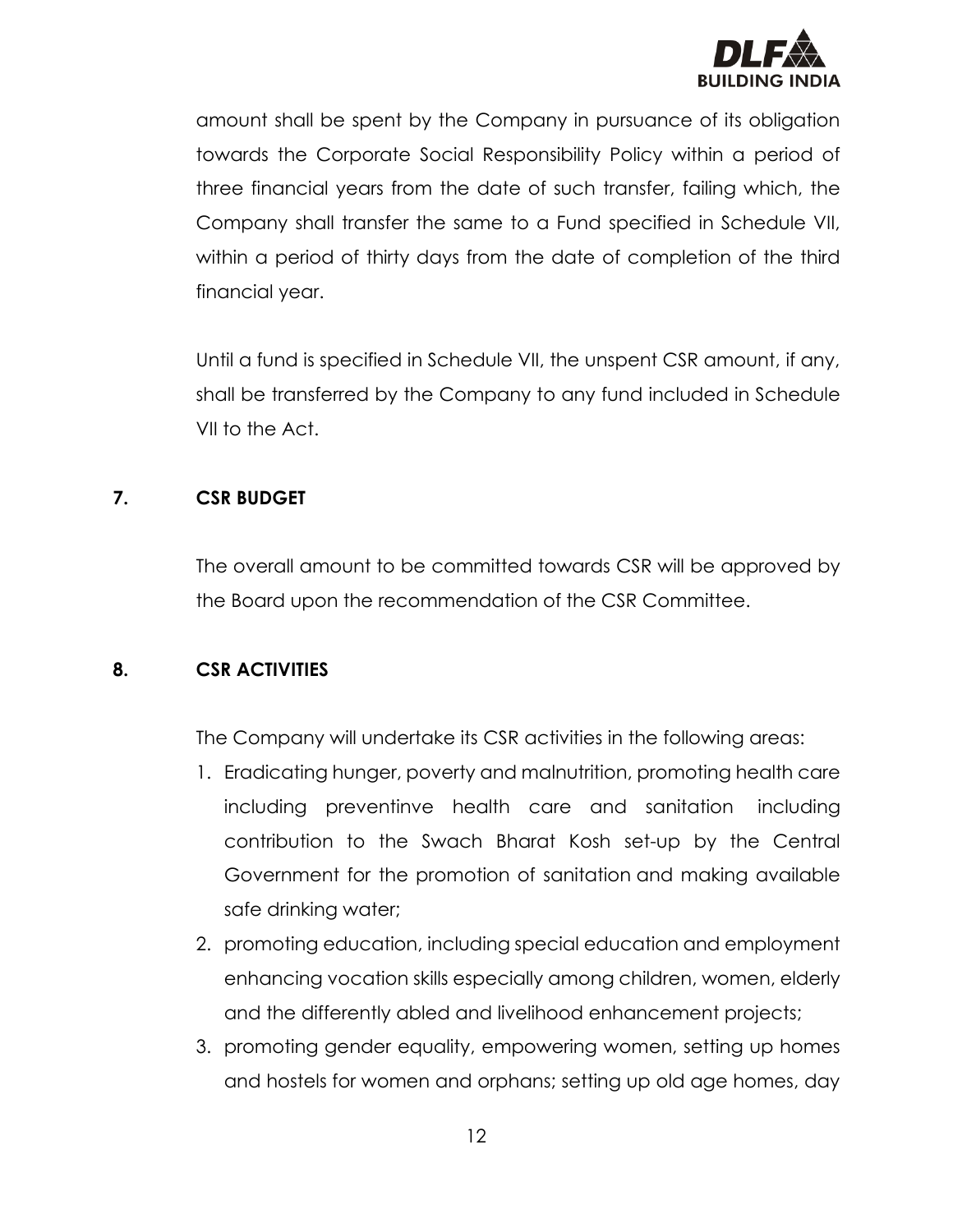

amount shall be spent by the Company in pursuance of its obligation towards the Corporate Social Responsibility Policy within a period of three financial years from the date of such transfer, failing which, the Company shall transfer the same to a Fund specified in Schedule VII, within a period of thirty days from the date of completion of the third financial year.

Until a fund is specified in Schedule VII, the unspent CSR amount, if any, shall be transferred by the Company to any fund included in Schedule VII to the Act.

# **7. CSR BUDGET**

The overall amount to be committed towards CSR will be approved by the Board upon the recommendation of the CSR Committee.

# **8. CSR ACTIVITIES**

The Company will undertake its CSR activities in the following areas:

- 1. Eradicating hunger, poverty and malnutrition, promoting health care including preventinve health care and sanitation including contribution to the Swach Bharat Kosh set-up by the Central Government for the promotion of sanitation and making available safe drinking water;
- 2. promoting education, including special education and employment enhancing vocation skills especially among children, women, elderly and the differently abled and livelihood enhancement projects;
- 3. promoting gender equality, empowering women, setting up homes and hostels for women and orphans; setting up old age homes, day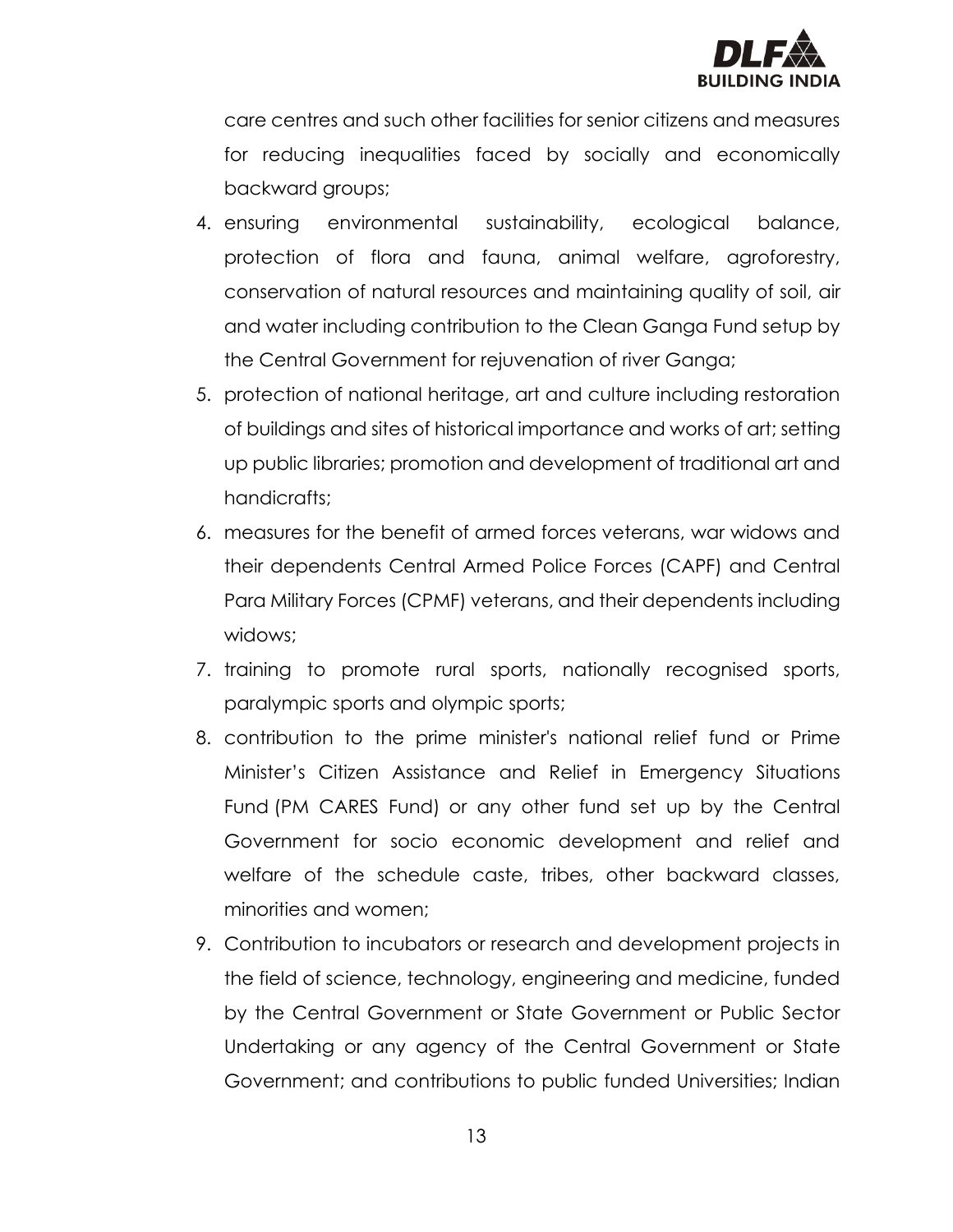

care centres and such other facilities for senior citizens and measures for reducing inequalities faced by socially and economically backward groups;

- 4. ensuring environmental sustainability, ecological balance, protection of flora and fauna, animal welfare, agroforestry, conservation of natural resources and maintaining quality of soil, air and water including contribution to the Clean Ganga Fund setup by the Central Government for rejuvenation of river Ganga;
- 5. protection of national heritage, art and culture including restoration of buildings and sites of historical importance and works of art; setting up public libraries; promotion and development of traditional art and handicrafts;
- 6. measures for the benefit of armed forces veterans, war widows and their dependents Central Armed Police Forces (CAPF) and Central Para Military Forces (CPMF) veterans, and their dependents including widows;
- 7. training to promote rural sports, nationally recognised sports, paralympic sports and olympic sports;
- 8. contribution to the prime minister's national relief fund or Prime Minister's Citizen Assistance and Relief in Emergency Situations Fund (PM CARES Fund) or any other fund set up by the Central Government for socio economic development and relief and welfare of the schedule caste, tribes, other backward classes, minorities and women;
- 9. Contribution to incubators or research and development projects in the field of science, technology, engineering and medicine, funded by the Central Government or State Government or Public Sector Undertaking or any agency of the Central Government or State Government; and contributions to public funded Universities; Indian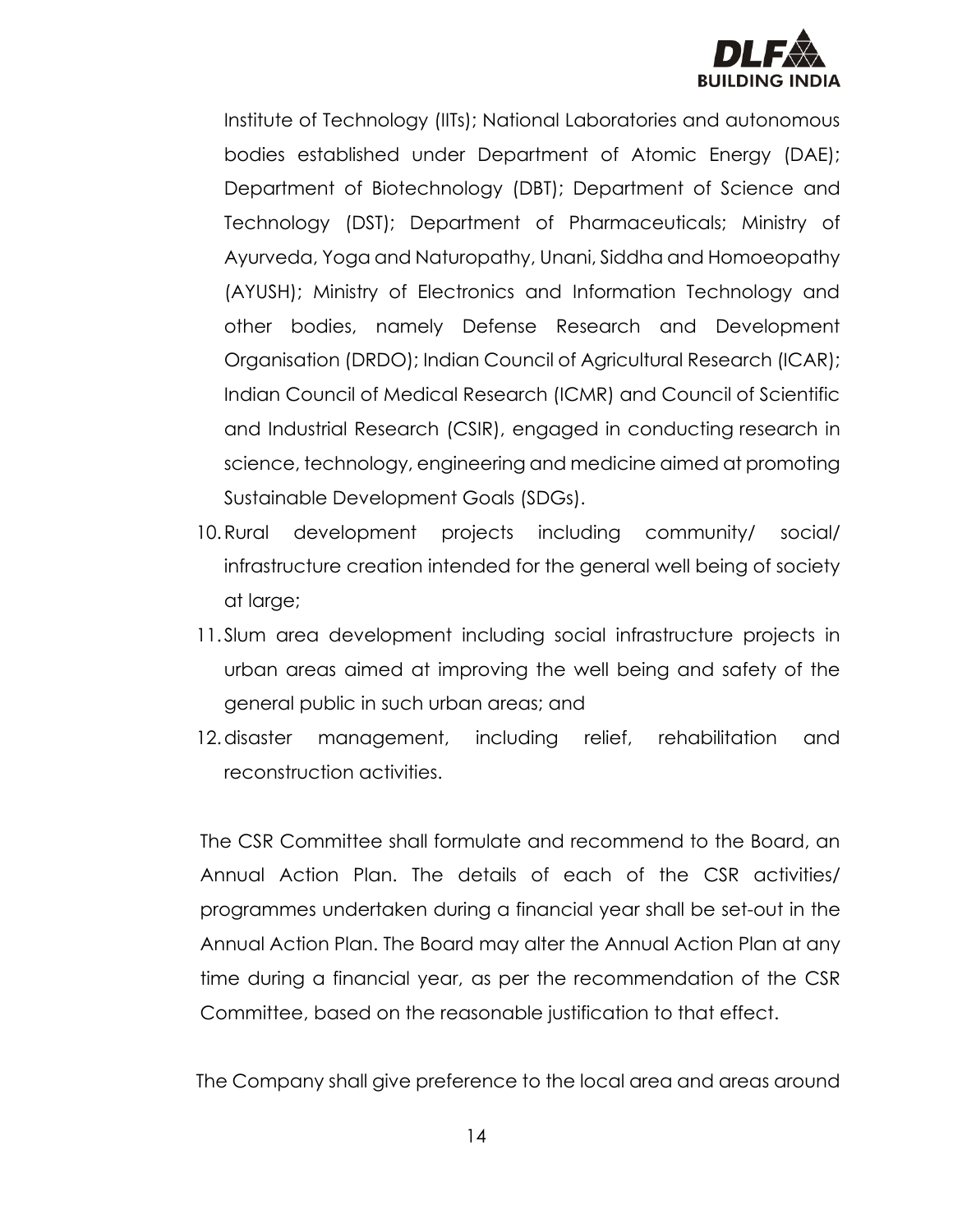

Institute of Technology (IITs); National Laboratories and autonomous bodies established under Department of Atomic Energy (DAE); Department of Biotechnology (DBT); Department of Science and Technology (DST); Department of Pharmaceuticals; Ministry of Ayurveda, Yoga and Naturopathy, Unani, Siddha and Homoeopathy (AYUSH); Ministry of Electronics and Information Technology and other bodies, namely Defense Research and Development Organisation (DRDO); Indian Council of Agricultural Research (ICAR); Indian Council of Medical Research (ICMR) and Council of Scientific and Industrial Research (CSIR), engaged in conducting research in science, technology, engineering and medicine aimed at promoting Sustainable Development Goals (SDGs).

- 10.Rural development projects including community/ social/ infrastructure creation intended for the general well being of society at large;
- 11.Slum area development including social infrastructure projects in urban areas aimed at improving the well being and safety of the general public in such urban areas; and
- 12. disaster management, including relief, rehabilitation and reconstruction activities.

The CSR Committee shall formulate and recommend to the Board, an Annual Action Plan. The details of each of the CSR activities/ programmes undertaken during a financial year shall be set-out in the Annual Action Plan. The Board may alter the Annual Action Plan at any time during a financial year, as per the recommendation of the CSR Committee, based on the reasonable justification to that effect.

The Company shall give preference to the local area and areas around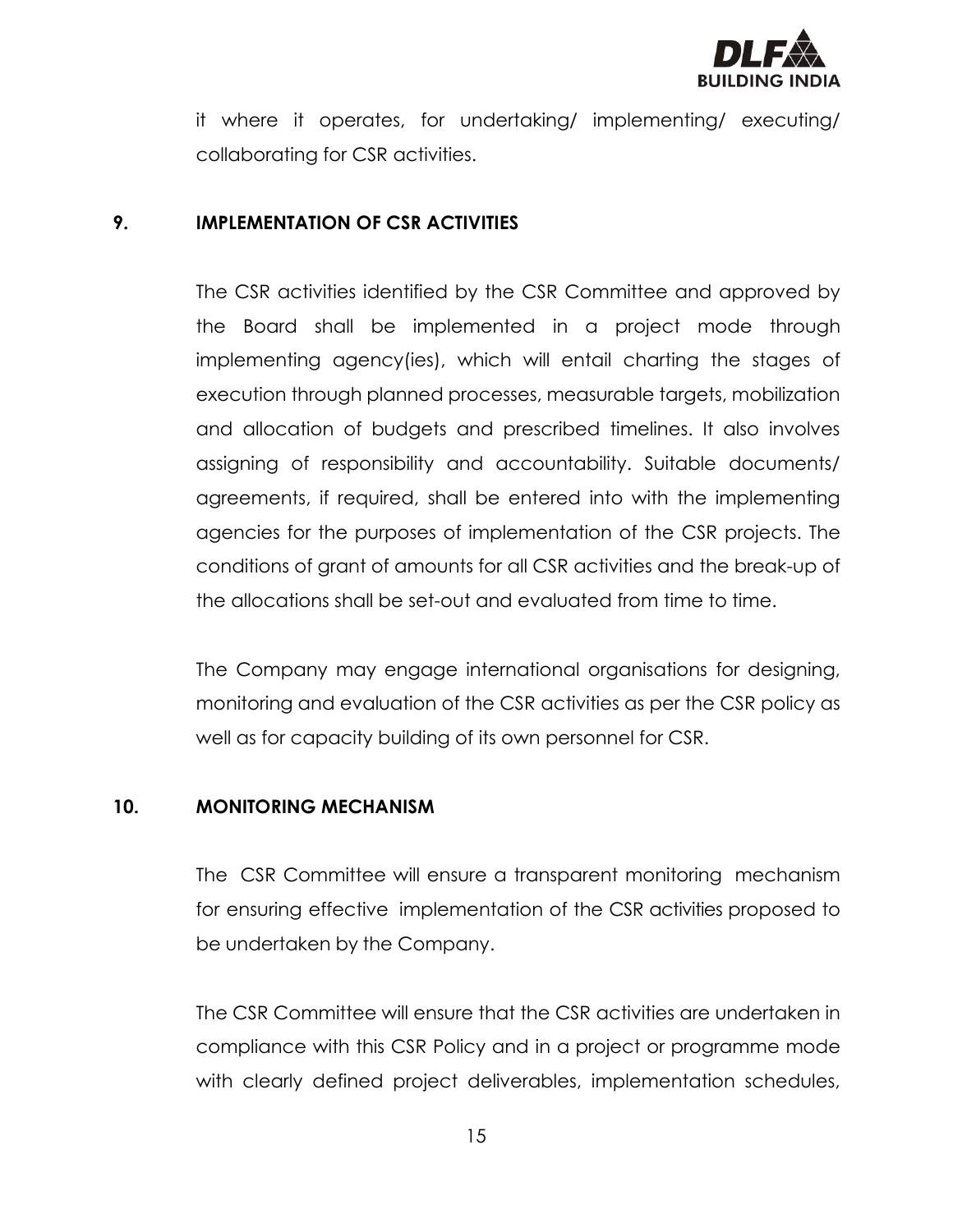

it where it operates, for undertaking/ implementing/ executing/ collaborating for CSR activities.

#### **9. IMPLEMENTATION OF CSR ACTIVITIES**

The CSR activities identified by the CSR Committee and approved by the Board shall be implemented in a project mode through implementing agency(ies), which will entail charting the stages of execution through planned processes, measurable targets, mobilization and allocation of budgets and prescribed timelines. It also involves assigning of responsibility and accountability. Suitable documents/ agreements, if required, shall be entered into with the implementing agencies for the purposes of implementation of the CSR projects. The conditions of grant of amounts for all CSR activities and the break-up of the allocations shall be set-out and evaluated from time to time.

The Company may engage international organisations for designing, monitoring and evaluation of the CSR activities as per the CSR policy as well as for capacity building of its own personnel for CSR.

#### **10. MONITORING MECHANISM**

The CSR Committee will ensure a transparent monitoring mechanism for ensuring effective implementation of the CSR activities proposed to be undertaken by the Company.

The CSR Committee will ensure that the CSR activities are undertaken in compliance with this CSR Policy and in a project or programme mode with clearly defined project deliverables, implementation schedules,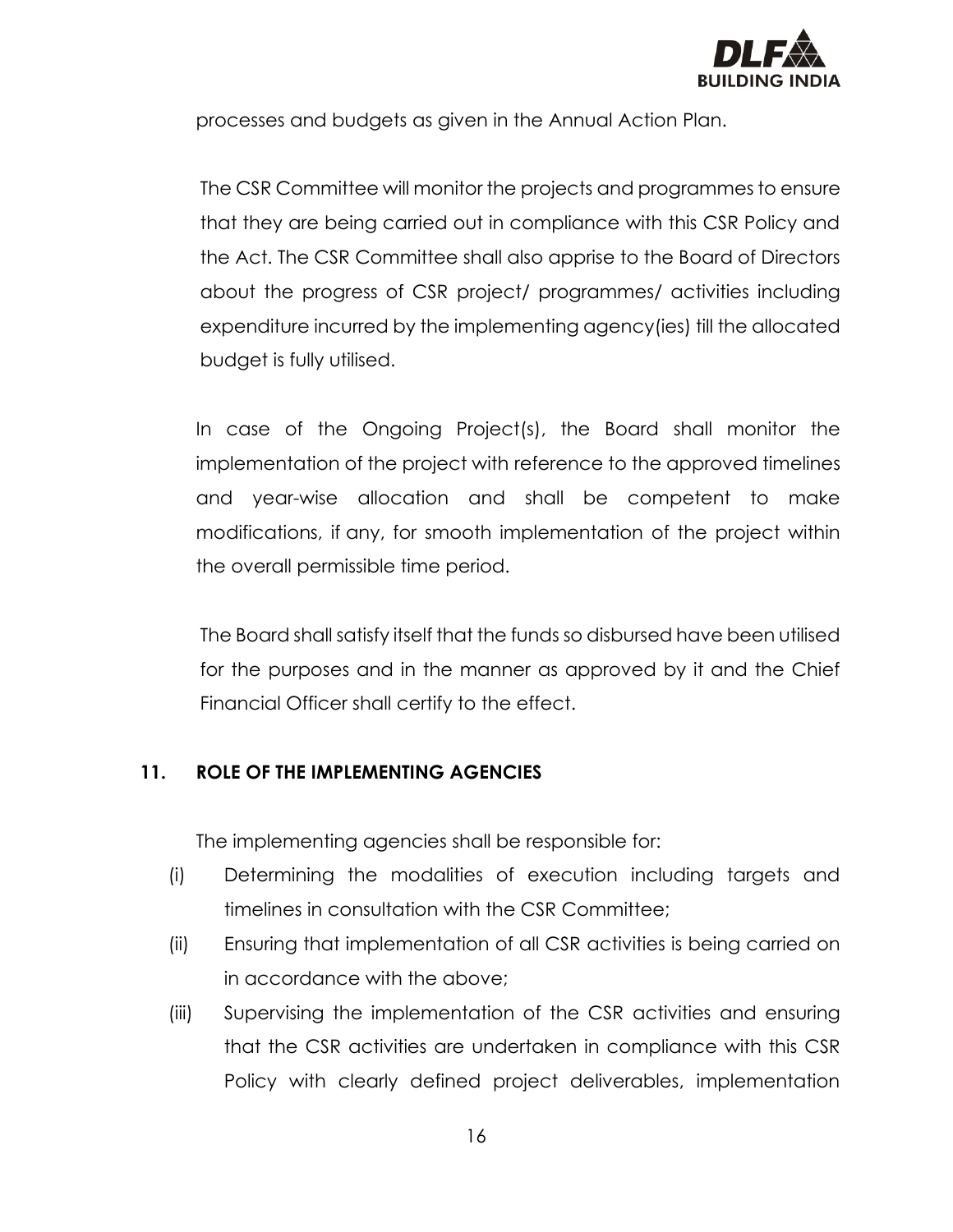

processes and budgets as given in the Annual Action Plan.

The CSR Committee will monitor the projects and programmes to ensure that they are being carried out in compliance with this CSR Policy and the Act. The CSR Committee shall also apprise to the Board of Directors about the progress of CSR project/ programmes/ activities including expenditure incurred by the implementing agency(ies) till the allocated budget is fully utilised.

In case of the Ongoing Project(s), the Board shall monitor the implementation of the project with reference to the approved timelines and year-wise allocation and shall be competent to make modifications, if any, for smooth implementation of the project within the overall permissible time period.

The Board shall satisfy itself that the funds so disbursed have been utilised for the purposes and in the manner as approved by it and the Chief Financial Officer shall certify to the effect.

# **11. ROLE OF THE IMPLEMENTING AGENCIES**

The implementing agencies shall be responsible for:

- (i) Determining the modalities of execution including targets and timelines in consultation with the CSR Committee;
- (ii) Ensuring that implementation of all CSR activities is being carried on in accordance with the above;
- (iii) Supervising the implementation of the CSR activities and ensuring that the CSR activities are undertaken in compliance with this CSR Policy with clearly defined project deliverables, implementation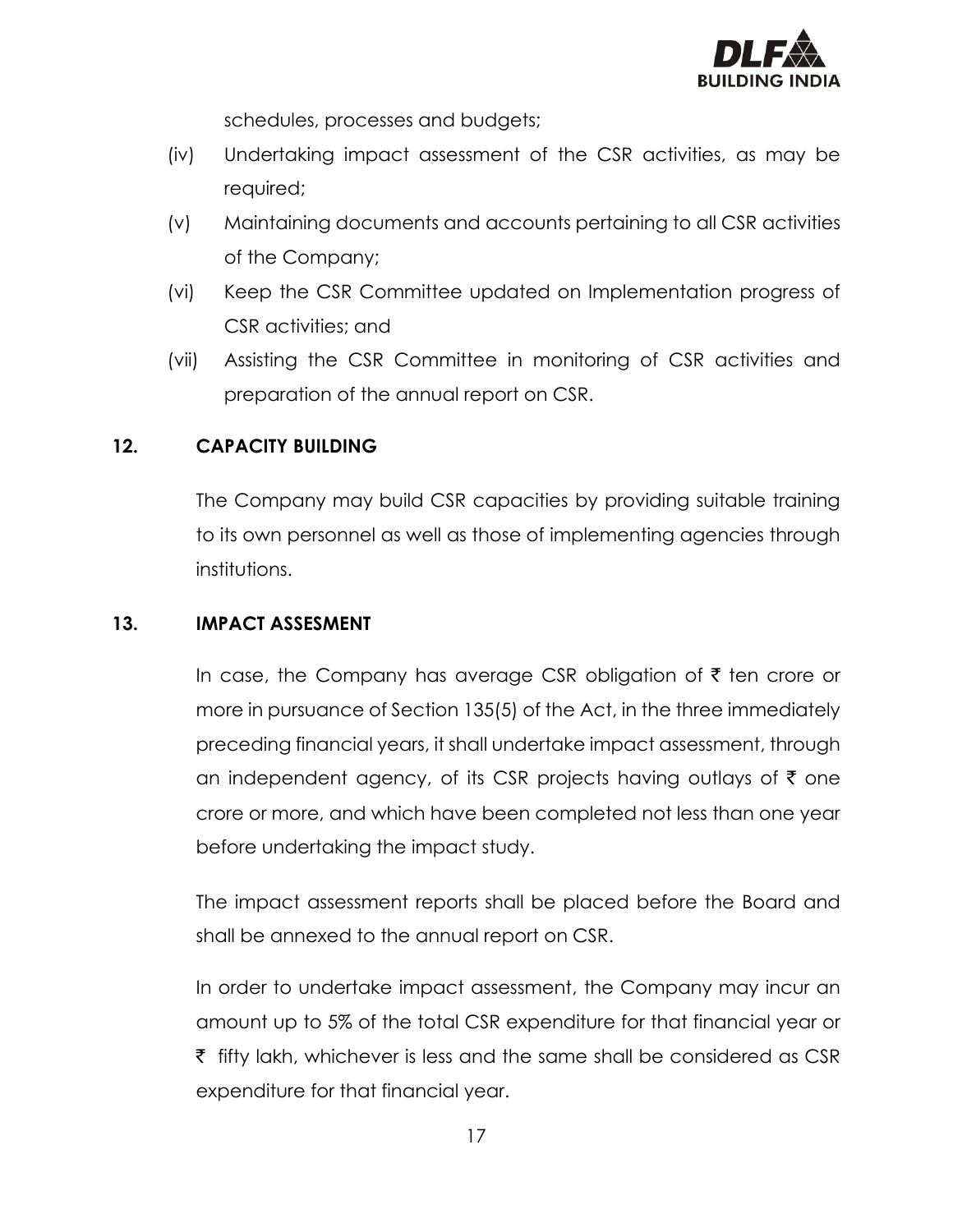

schedules, processes and budgets;

- (iv) Undertaking impact assessment of the CSR activities, as may be required;
- (v) Maintaining documents and accounts pertaining to all CSR activities of the Company;
- (vi) Keep the CSR Committee updated on Implementation progress of CSR activities; and
- (vii) Assisting the CSR Committee in monitoring of CSR activities and preparation of the annual report on CSR.

# **12. CAPACITY BUILDING**

The Company may build CSR capacities by providing suitable training to its own personnel as well as those of implementing agencies through institutions.

# **13. IMPACT ASSESMENT**

In case, the Company has average CSR obligation of  $\bar{\tau}$  ten crore or more in pursuance of Section 135(5) of the Act, in the three immediately preceding financial years, it shall undertake impact assessment, through an independent agency, of its CSR projects having outlays of  $\bar{\tau}$  one crore or more, and which have been completed not less than one year before undertaking the impact study.

The impact assessment reports shall be placed before the Board and shall be annexed to the annual report on CSR.

In order to undertake impact assessment, the Company may incur an amount up to 5% of the total CSR expenditure for that financial year or  $\bar{\tau}$  fifty lakh, whichever is less and the same shall be considered as CSR expenditure for that financial year.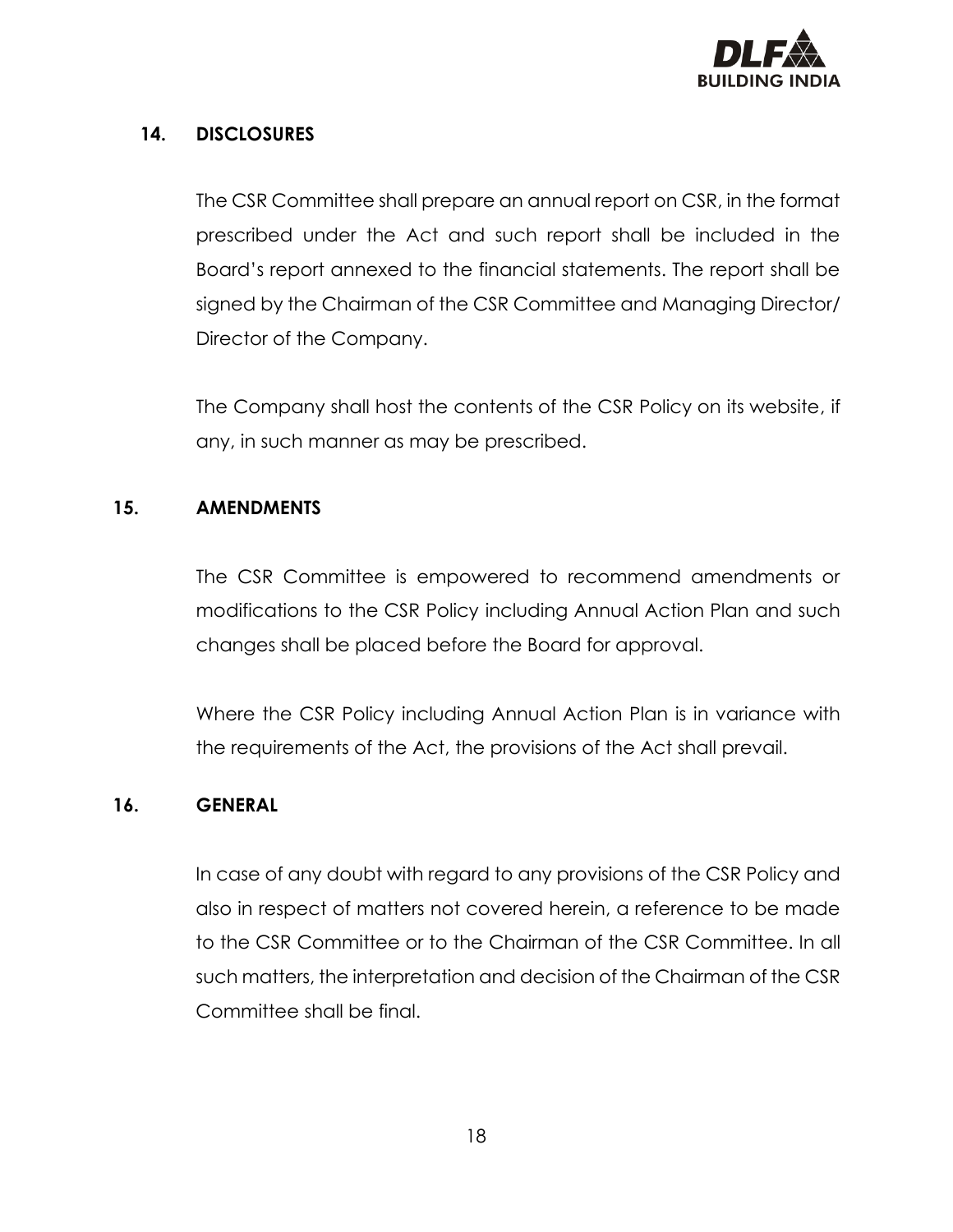

# **14. DISCLOSURES**

The CSR Committee shall prepare an annual report on CSR, in the format prescribed under the Act and such report shall be included in the Board's report annexed to the financial statements. The report shall be signed by the Chairman of the CSR Committee and Managing Director/ Director of the Company.

The Company shall host the contents of the CSR Policy on its website, if any, in such manner as may be prescribed.

#### **15. AMENDMENTS**

The CSR Committee is empowered to recommend amendments or modifications to the CSR Policy including Annual Action Plan and such changes shall be placed before the Board for approval.

Where the CSR Policy including Annual Action Plan is in variance with the requirements of the Act, the provisions of the Act shall prevail.

#### **16. GENERAL**

In case of any doubt with regard to any provisions of the CSR Policy and also in respect of matters not covered herein, a reference to be made to the CSR Committee or to the Chairman of the CSR Committee. In all such matters, the interpretation and decision of the Chairman of the CSR Committee shall be final.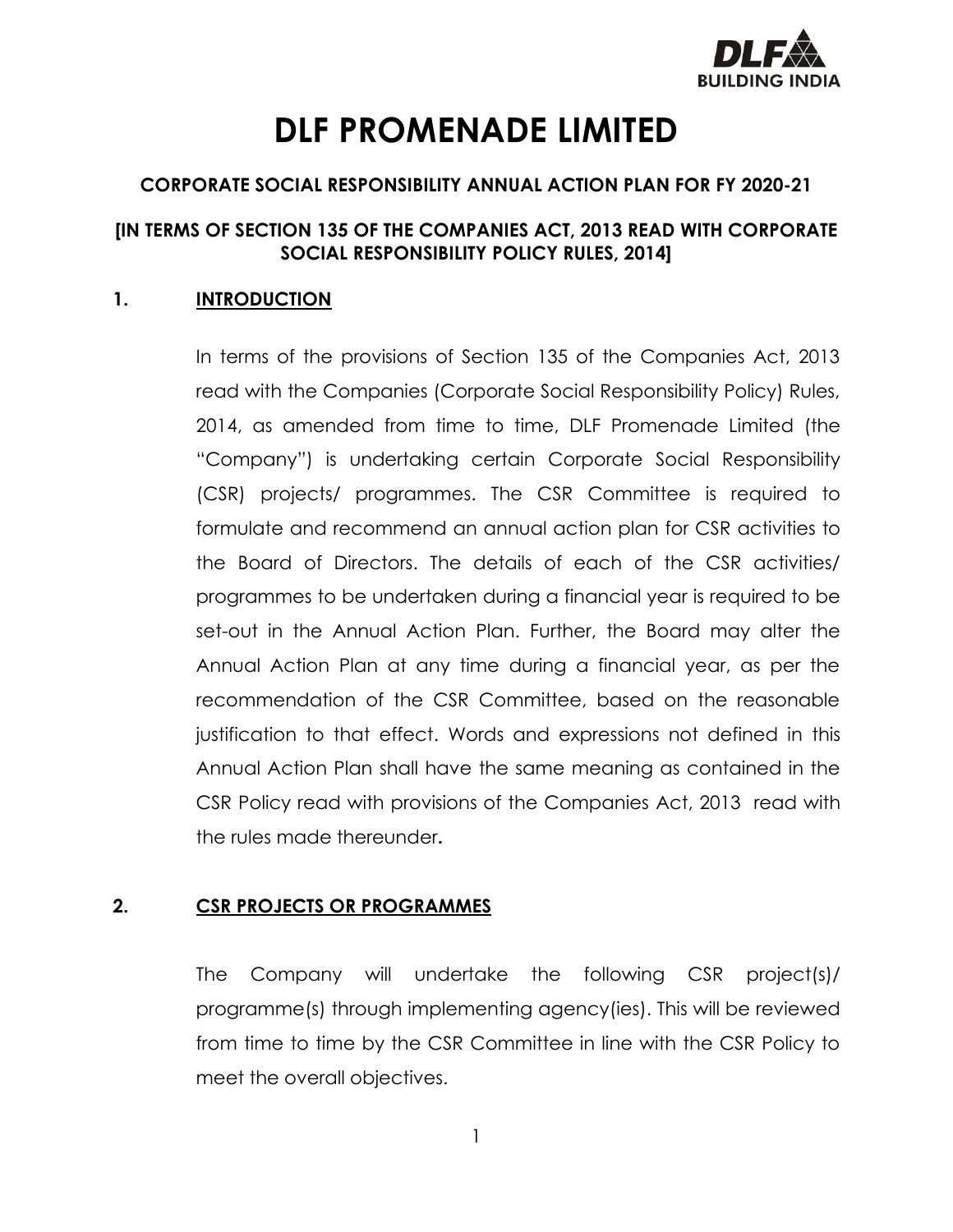

# **DLF PROMENADE LIMITED**

# **CORPORATE SOCIAL RESPONSIBILITY ANNUAL ACTION PLAN FOR FY 2020-21**

# **[IN TERMS OF SECTION 135 OF THE COMPANIES ACT, 2013 READ WITH CORPORATE SOCIAL RESPONSIBILITY POLICY RULES, 2014]**

# **1. INTRODUCTION**

In terms of the provisions of Section 135 of the Companies Act, 2013 read with the Companies (Corporate Social Responsibility Policy) Rules, 2014, as amended from time to time, DLF Promenade Limited (the "Company") is undertaking certain Corporate Social Responsibility (CSR) projects/ programmes. The CSR Committee is required to formulate and recommend an annual action plan for CSR activities to the Board of Directors. The details of each of the CSR activities/ programmes to be undertaken during a financial year is required to be set-out in the Annual Action Plan. Further, the Board may alter the Annual Action Plan at any time during a financial year, as per the recommendation of the CSR Committee, based on the reasonable justification to that effect. Words and expressions not defined in this Annual Action Plan shall have the same meaning as contained in the CSR Policy read with provisions of the Companies Act, 2013 read with the rules made thereunder**.**

# **2. CSR PROJECTS OR PROGRAMMES**

The Company will undertake the following CSR project(s)/ programme(s) through implementing agency(ies). This will be reviewed from time to time by the CSR Committee in line with the CSR Policy to meet the overall objectives.

1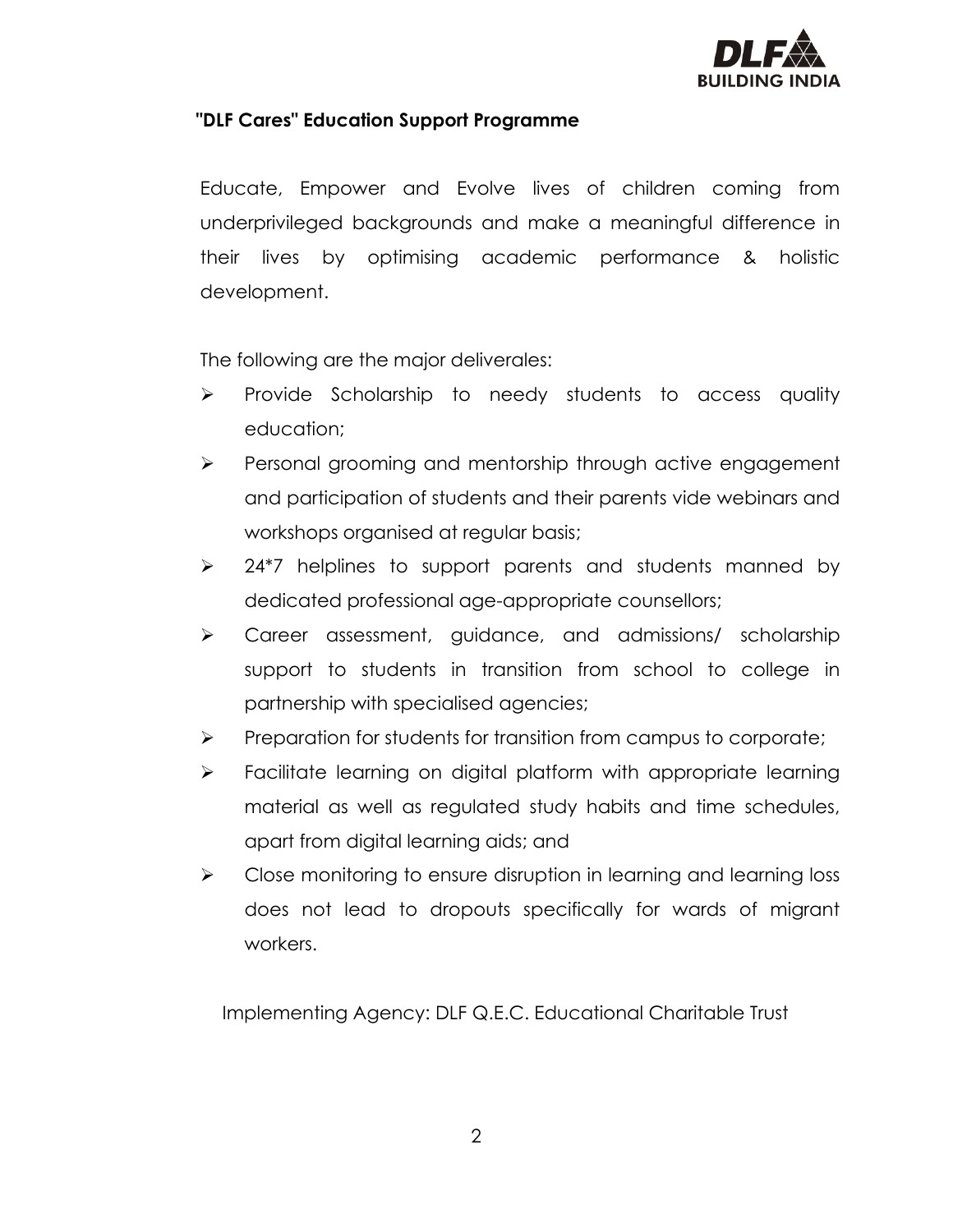

# **"DLF Cares" Education Support Programme**

Educate, Empower and Evolve lives of children coming from underprivileged backgrounds and make a meaningful difference in their lives by optimising academic performance & holistic development.

The following are the major deliverales:

- ➢ Provide Scholarship to needy students to access quality education;
- ➢ Personal grooming and mentorship through active engagement and participation of students and their parents vide webinars and workshops organised at regular basis;
- ➢ 24\*7 helplines to support parents and students manned by dedicated professional age-appropriate counsellors;
- ➢ Career assessment, guidance, and admissions/ scholarship support to students in transition from school to college in partnership with specialised agencies;
- ➢ Preparation for students for transition from campus to corporate;
- ➢ Facilitate learning on digital platform with appropriate learning material as well as regulated study habits and time schedules, apart from digital learning aids; and
- ➢ Close monitoring to ensure disruption in learning and learning loss does not lead to dropouts specifically for wards of migrant workers.

Implementing Agency: DLF Q.E.C. Educational Charitable Trust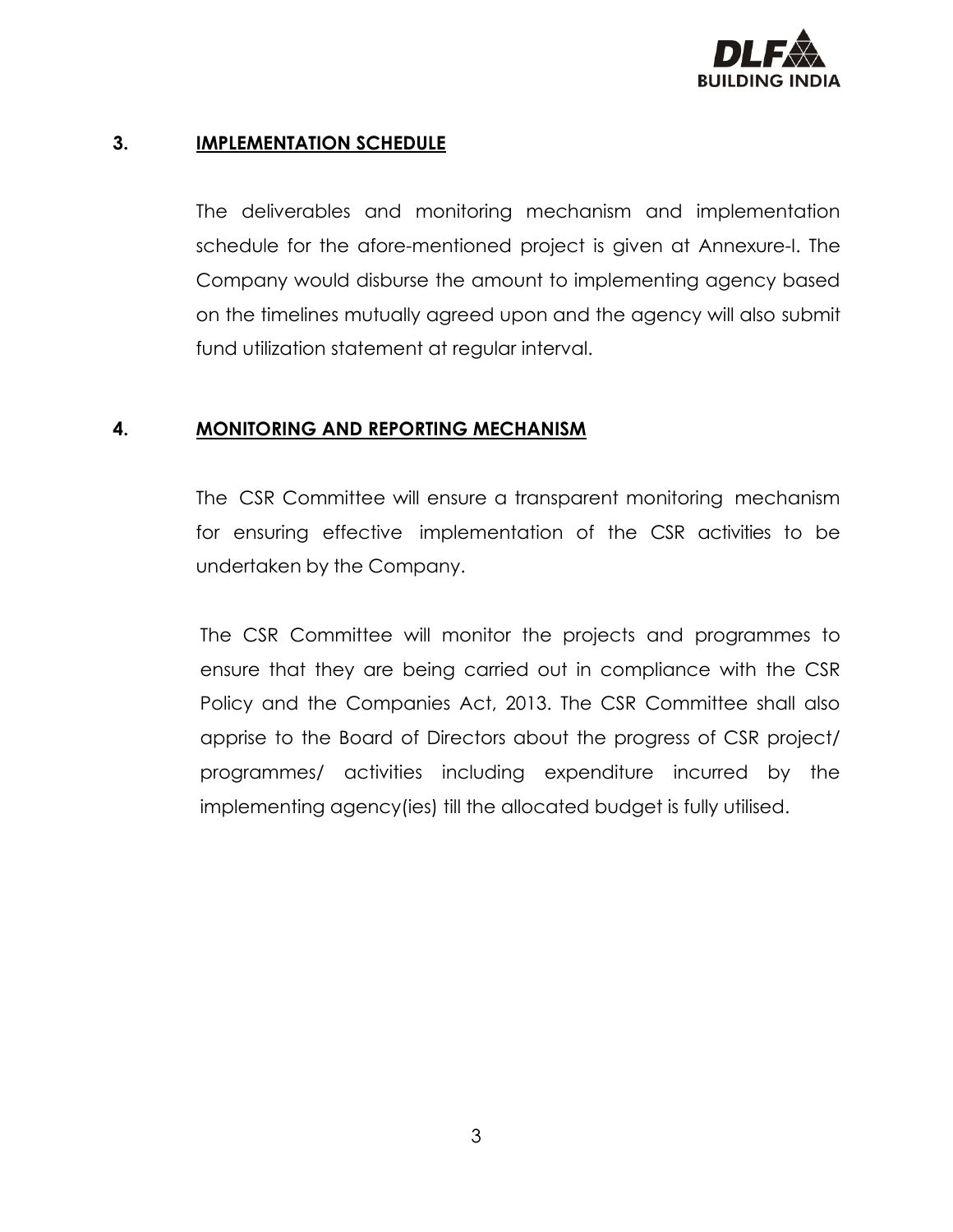

# **3. IMPLEMENTATION SCHEDULE**

The deliverables and monitoring mechanism and implementation schedule for the afore-mentioned project is given at Annexure-I. The Company would disburse the amount to implementing agency based on the timelines mutually agreed upon and the agency will also submit fund utilization statement at regular interval.

#### **4. MONITORING AND REPORTING MECHANISM**

The CSR Committee will ensure a transparent monitoring mechanism for ensuring effective implementation of the CSR activities to be undertaken by the Company.

The CSR Committee will monitor the projects and programmes to ensure that they are being carried out in compliance with the CSR Policy and the Companies Act, 2013. The CSR Committee shall also apprise to the Board of Directors about the progress of CSR project/ programmes/ activities including expenditure incurred by the implementing agency(ies) till the allocated budget is fully utilised.